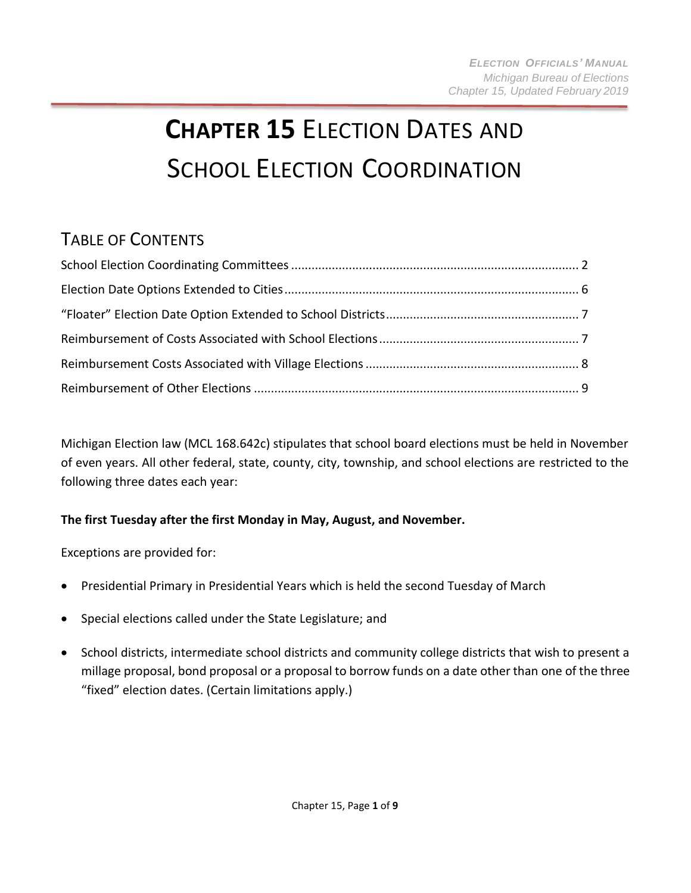# **CHAPTER 15** ELECTION DATES AND SCHOOL ELECTION COORDINATION

# TABLE OF CONTENTS

Michigan Election law (MCL 168.642c) stipulates that school board elections must be held in November of even years. All other federal, state, county, city, township, and school elections are restricted to the following three dates each year:

#### **The first Tuesday after the first Monday in May, August, and November.**

Exceptions are provided for:

- Presidential Primary in Presidential Years which is held the second Tuesday of March
- Special elections called under the State Legislature; and
- School districts, intermediate school districts and community college districts that wish to present a millage proposal, bond proposal or a proposal to borrow funds on a date other than one of the three "fixed" election dates. (Certain limitations apply.)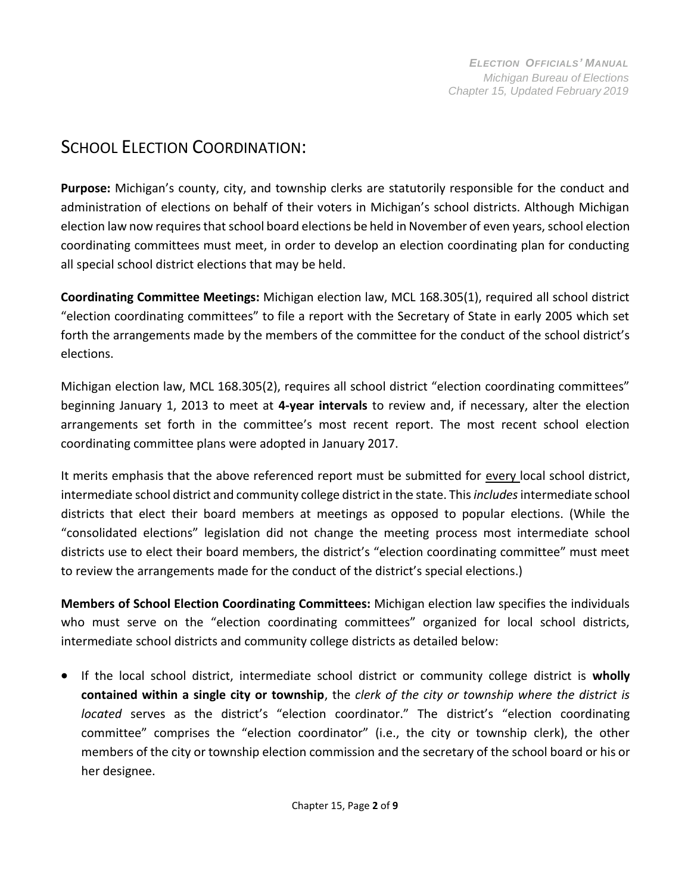## <span id="page-1-0"></span>SCHOOL ELECTION COORDINATION:

**Purpose:** Michigan's county, city, and township clerks are statutorily responsible for the conduct and administration of elections on behalf of their voters in Michigan's school districts. Although Michigan election law now requires that school board elections be held in November of even years, school election coordinating committees must meet, in order to develop an election coordinating plan for conducting all special school district elections that may be held.

**Coordinating Committee Meetings:** Michigan election law, MCL 168.305(1), required all school district "election coordinating committees" to file a report with the Secretary of State in early 2005 which set forth the arrangements made by the members of the committee for the conduct of the school district's elections.

Michigan election law, MCL 168.305(2), requires all school district "election coordinating committees" beginning January 1, 2013 to meet at **4-year intervals** to review and, if necessary, alter the election arrangements set forth in the committee's most recent report. The most recent school election coordinating committee plans were adopted in January 2017.

It merits emphasis that the above referenced report must be submitted for every local school district, intermediate school district and community college district in the state. This *includes* intermediate school districts that elect their board members at meetings as opposed to popular elections. (While the "consolidated elections" legislation did not change the meeting process most intermediate school districts use to elect their board members, the district's "election coordinating committee" must meet to review the arrangements made for the conduct of the district's special elections.)

**Members of School Election Coordinating Committees:** Michigan election law specifies the individuals who must serve on the "election coordinating committees" organized for local school districts, intermediate school districts and community college districts as detailed below:

• If the local school district, intermediate school district or community college district is **wholly contained within a single city or township**, the *clerk of the city or township where the district is located* serves as the district's "election coordinator." The district's "election coordinating committee" comprises the "election coordinator" (i.e., the city or township clerk), the other members of the city or township election commission and the secretary of the school board or his or her designee.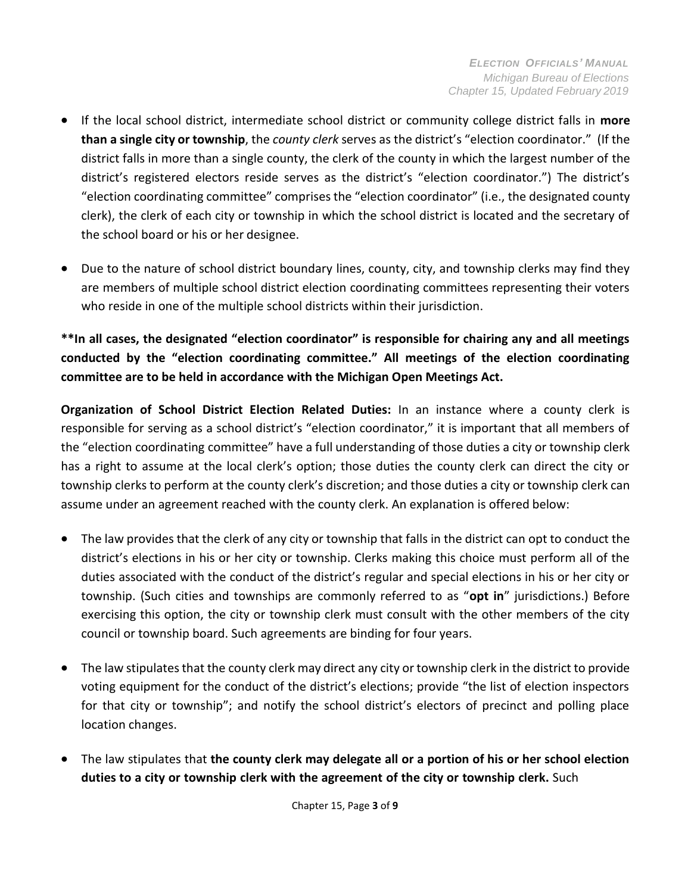- If the local school district, intermediate school district or community college district falls in **more than a single city or township**, the *county clerk* serves as the district's "election coordinator." (If the district falls in more than a single county, the clerk of the county in which the largest number of the district's registered electors reside serves as the district's "election coordinator.") The district's "election coordinating committee" comprisesthe "election coordinator" (i.e., the designated county clerk), the clerk of each city or township in which the school district is located and the secretary of the school board or his or her designee.
- Due to the nature of school district boundary lines, county, city, and township clerks may find they are members of multiple school district election coordinating committees representing their voters who reside in one of the multiple school districts within their jurisdiction.

**\*\*In all cases, the designated "election coordinator" is responsible for chairing any and all meetings conducted by the "election coordinating committee." All meetings of the election coordinating committee are to be held in accordance with the Michigan Open Meetings Act.**

**Organization of School District Election Related Duties:** In an instance where a county clerk is responsible for serving as a school district's "election coordinator," it is important that all members of the "election coordinating committee" have a full understanding of those duties a city or township clerk has a right to assume at the local clerk's option; those duties the county clerk can direct the city or township clerks to perform at the county clerk's discretion; and those duties a city or township clerk can assume under an agreement reached with the county clerk. An explanation is offered below:

- The law provides that the clerk of any city or township that falls in the district can opt to conduct the district's elections in his or her city or township. Clerks making this choice must perform all of the duties associated with the conduct of the district's regular and special elections in his or her city or township. (Such cities and townships are commonly referred to as "**opt in**" jurisdictions.) Before exercising this option, the city or township clerk must consult with the other members of the city council or township board. Such agreements are binding for four years.
- $\bullet$  The law stipulates that the county clerk may direct any city or township clerk in the district to provide voting equipment for the conduct of the district's elections; provide "the list of election inspectors for that city or township"; and notify the school district's electors of precinct and polling place location changes.
- The law stipulates that **the county clerk may delegate all or a portion of his or her school election duties to a city or township clerk with the agreement of the city or township clerk.** Such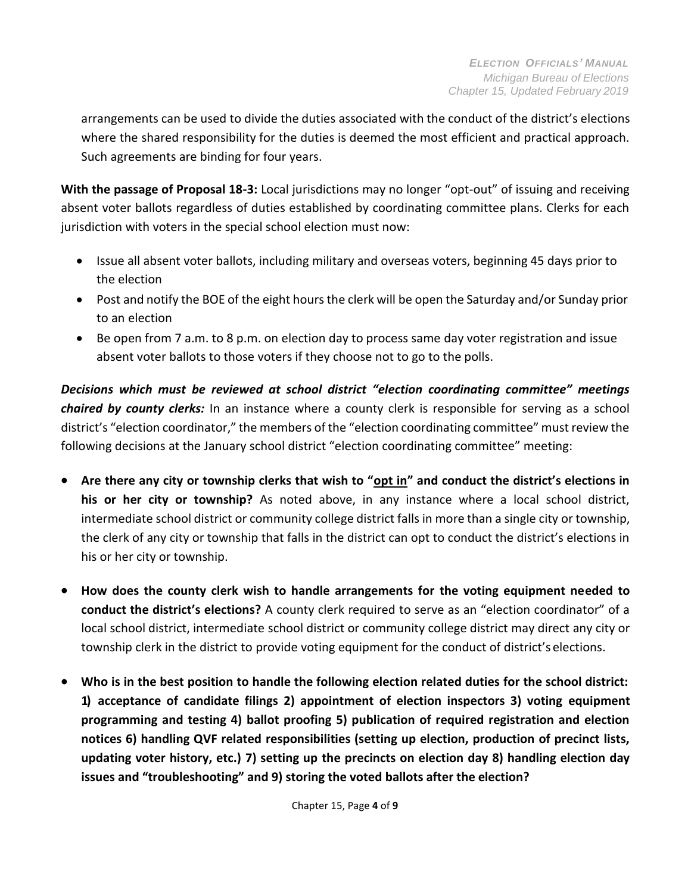arrangements can be used to divide the duties associated with the conduct of the district's elections where the shared responsibility for the duties is deemed the most efficient and practical approach. Such agreements are binding for four years.

**With the passage of Proposal 18-3:** Local jurisdictions may no longer "opt-out" of issuing and receiving absent voter ballots regardless of duties established by coordinating committee plans. Clerks for each jurisdiction with voters in the special school election must now:

- Issue all absent voter ballots, including military and overseas voters, beginning 45 days prior to the election
- Post and notify the BOE of the eight hours the clerk will be open the Saturday and/or Sunday prior to an election
- Be open from 7 a.m. to 8 p.m. on election day to process same day voter registration and issue absent voter ballots to those voters if they choose not to go to the polls.

*Decisions which must be reviewed at school district "election coordinating committee" meetings chaired by county clerks:* In an instance where a county clerk is responsible for serving as a school district's "election coordinator," the members of the "election coordinating committee" must review the following decisions at the January school district "election coordinating committee" meeting:

- **Are there any city or township clerks that wish to "opt in" and conduct the district's elections in his or her city or township?** As noted above, in any instance where a local school district, intermediate school district or community college district falls in more than a single city or township, the clerk of any city or township that falls in the district can opt to conduct the district's elections in his or her city or township.
- **How does the county clerk wish to handle arrangements for the voting equipment needed to conduct the district's elections?** A county clerk required to serve as an "election coordinator" of a local school district, intermediate school district or community college district may direct any city or township clerk in the district to provide voting equipment for the conduct of district's elections.
- **Who is in the best position to handle the following election related duties for the school district: 1) acceptance of candidate filings 2) appointment of election inspectors 3) voting equipment programming and testing 4) ballot proofing 5) publication of required registration and election notices 6) handling QVF related responsibilities (setting up election, production of precinct lists, updating voter history, etc.) 7) setting up the precincts on election day 8) handling election day issues and "troubleshooting" and 9) storing the voted ballots after the election?**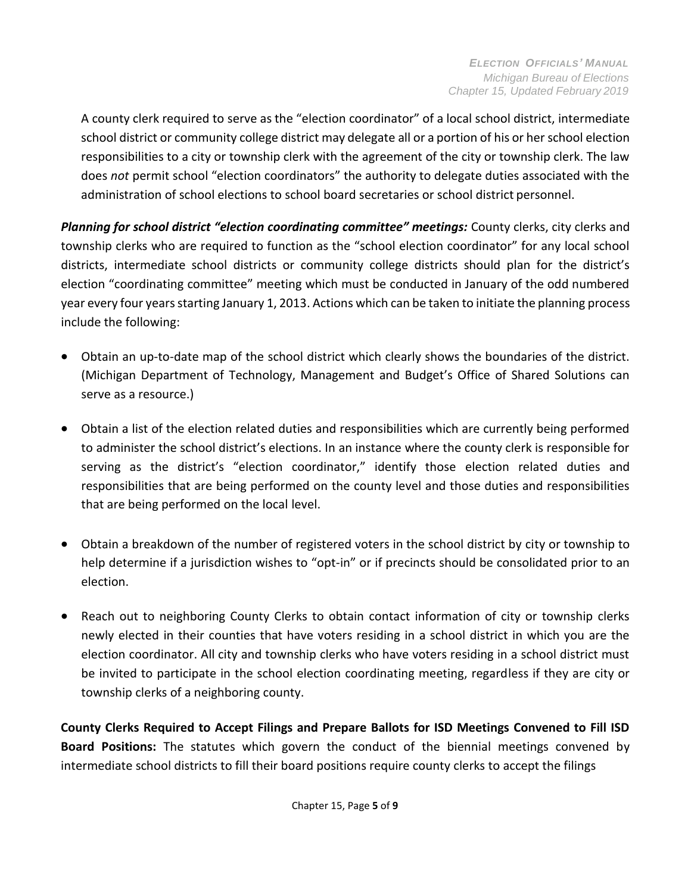A county clerk required to serve as the "election coordinator" of a local school district, intermediate school district or community college district may delegate all or a portion of his or herschool election responsibilities to a city or township clerk with the agreement of the city or township clerk. The law does *not* permit school "election coordinators" the authority to delegate duties associated with the administration of school elections to school board secretaries or school district personnel.

Planning for school district "election coordinating committee" meetings: County clerks, city clerks and township clerks who are required to function as the "school election coordinator" for any local school districts, intermediate school districts or community college districts should plan for the district's election "coordinating committee" meeting which must be conducted in January of the odd numbered year every four years starting January 1, 2013. Actions which can be taken to initiate the planning process include the following:

- Obtain an up-to-date map of the school district which clearly shows the boundaries of the district. (Michigan Department of Technology, Management and Budget's Office of Shared Solutions can serve as a resource.)
- Obtain a list of the election related duties and responsibilities which are currently being performed to administer the school district's elections. In an instance where the county clerk is responsible for serving as the district's "election coordinator," identify those election related duties and responsibilities that are being performed on the county level and those duties and responsibilities that are being performed on the local level.
- Obtain a breakdown of the number of registered voters in the school district by city or township to help determine if a jurisdiction wishes to "opt-in" or if precincts should be consolidated prior to an election.
- Reach out to neighboring County Clerks to obtain contact information of city or township clerks newly elected in their counties that have voters residing in a school district in which you are the election coordinator. All city and township clerks who have voters residing in a school district must be invited to participate in the school election coordinating meeting, regardless if they are city or township clerks of a neighboring county.

**County Clerks Required to Accept Filings and Prepare Ballots for ISD Meetings Convened to Fill ISD Board Positions:** The statutes which govern the conduct of the biennial meetings convened by intermediate school districts to fill their board positions require county clerks to accept the filings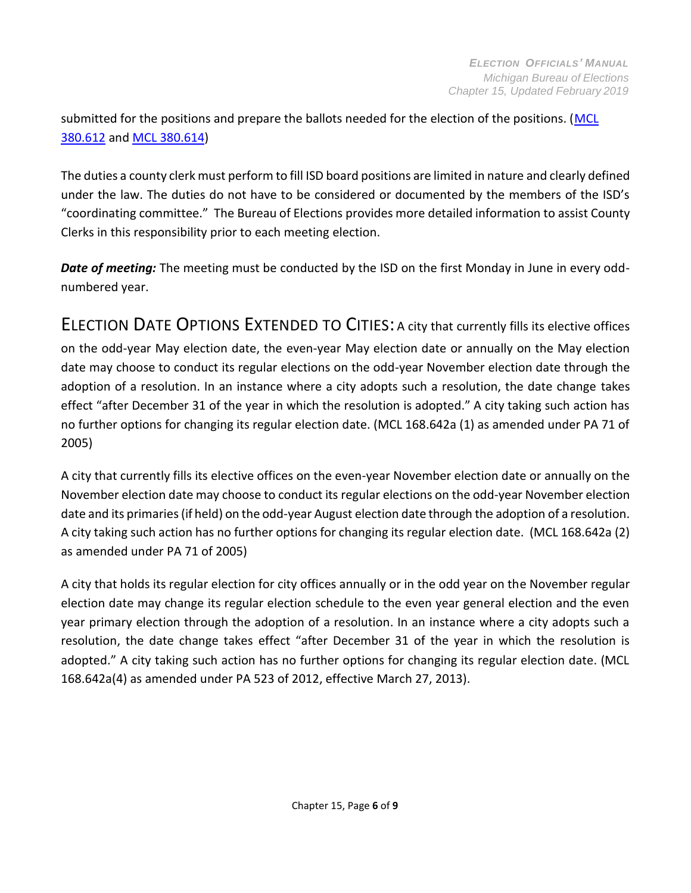submitted for the positions and prepare the ballots needed for the election of the positions. [\(MCL](http://www.legislature.mi.gov/(S(hlz2ip45bj2nh0i10udfleay))/mileg.aspx?page=getObject&objectName=mcl-380-612) [380.612](http://www.legislature.mi.gov/(S(hlz2ip45bj2nh0i10udfleay))/mileg.aspx?page=getObject&objectName=mcl-380-612) and [MCL 380.614\)](http://www.legislature.mi.gov/(S(hlz2ip45bj2nh0i10udfleay))/mileg.aspx?page=getObject&objectName=mcl-380-614)

The duties a county clerk must perform to fill ISD board positions are limited in nature and clearly defined under the law. The duties do not have to be considered or documented by the members of the ISD's "coordinating committee." The Bureau of Elections provides more detailed information to assist County Clerks in this responsibility prior to each meeting election.

<span id="page-5-0"></span>*Date of meeting:* The meeting must be conducted by the ISD on the first Monday in June in every oddnumbered year.

ELECTION DATE OPTIONS EXTENDED TO CITIES: A city that currently fills its elective offices on the odd-year May election date, the even-year May election date or annually on the May election date may choose to conduct its regular elections on the odd-year November election date through the adoption of a resolution. In an instance where a city adopts such a resolution, the date change takes effect "after December 31 of the year in which the resolution is adopted." A city taking such action has no further options for changing its regular election date. (MCL 168.642a (1) as amended under PA 71 of 2005)

A city that currently fills its elective offices on the even-year November election date or annually on the November election date may choose to conduct its regular elections on the odd-year November election date and its primaries(if held) on the odd-year August election date through the adoption of a resolution. A city taking such action has no further options for changing its regular election date. (MCL 168.642a (2) as amended under PA 71 of 2005)

A city that holds its regular election for city offices annually or in the odd year on the November regular election date may change its regular election schedule to the even year general election and the even year primary election through the adoption of a resolution. In an instance where a city adopts such a resolution, the date change takes effect "after December 31 of the year in which the resolution is adopted." A city taking such action has no further options for changing its regular election date. (MCL 168.642a(4) as amended under PA 523 of 2012, effective March 27, 2013).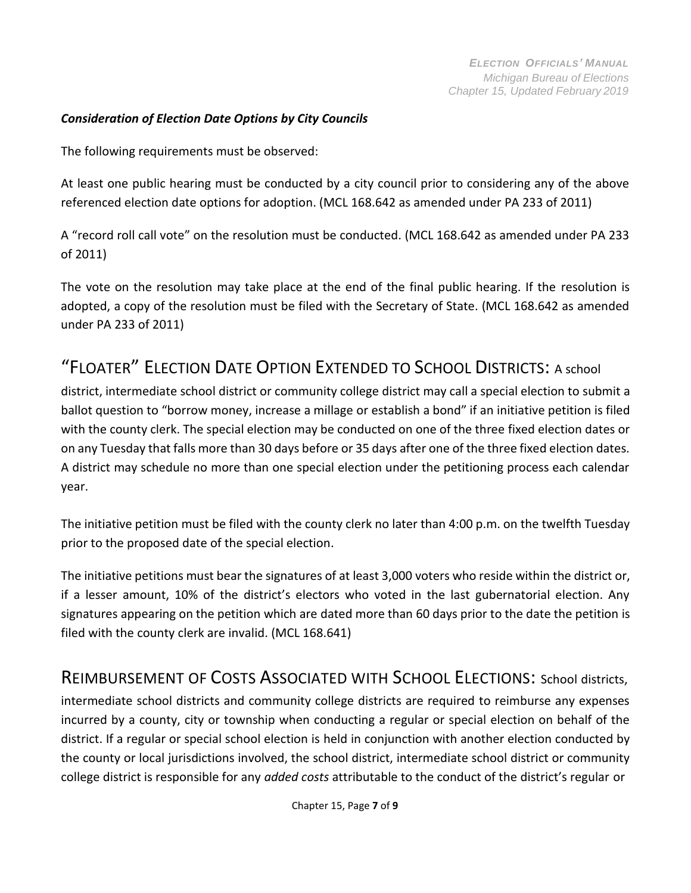#### *Consideration of Election Date Options by City Councils*

The following requirements must be observed:

At least one public hearing must be conducted by a city council prior to considering any of the above referenced election date options for adoption. (MCL 168.642 as amended under PA 233 of 2011)

A "record roll call vote" on the resolution must be conducted. (MCL 168.642 as amended under PA 233 of 2011)

The vote on the resolution may take place at the end of the final public hearing. If the resolution is adopted, a copy of the resolution must be filed with the Secretary of State. (MCL 168.642 as amended under PA 233 of 2011)

# <span id="page-6-0"></span>"FLOATER" ELECTION DATE OPTION EXTENDED TO SCHOOL DISTRICTS: A school

district, intermediate school district or community college district may call a special election to submit a ballot question to "borrow money, increase a millage or establish a bond" if an initiative petition is filed with the county clerk. The special election may be conducted on one of the three fixed election dates or on any Tuesday that falls more than 30 days before or 35 days after one of the three fixed election dates. A district may schedule no more than one special election under the petitioning process each calendar year.

The initiative petition must be filed with the county clerk no later than 4:00 p.m. on the twelfth Tuesday prior to the proposed date of the special election.

The initiative petitions must bear the signatures of at least 3,000 voters who reside within the district or, if a lesser amount, 10% of the district's electors who voted in the last gubernatorial election. Any signatures appearing on the petition which are dated more than 60 days prior to the date the petition is filed with the county clerk are invalid. (MCL 168.641)

### <span id="page-6-1"></span>REIMBURSEMENT OF COSTS ASSOCIATED WITH SCHOOL ELECTIONS: School districts,

intermediate school districts and community college districts are required to reimburse any expenses incurred by a county, city or township when conducting a regular or special election on behalf of the district. If a regular or special school election is held in conjunction with another election conducted by the county or local jurisdictions involved, the school district, intermediate school district or community college district is responsible for any *added costs* attributable to the conduct of the district's regular or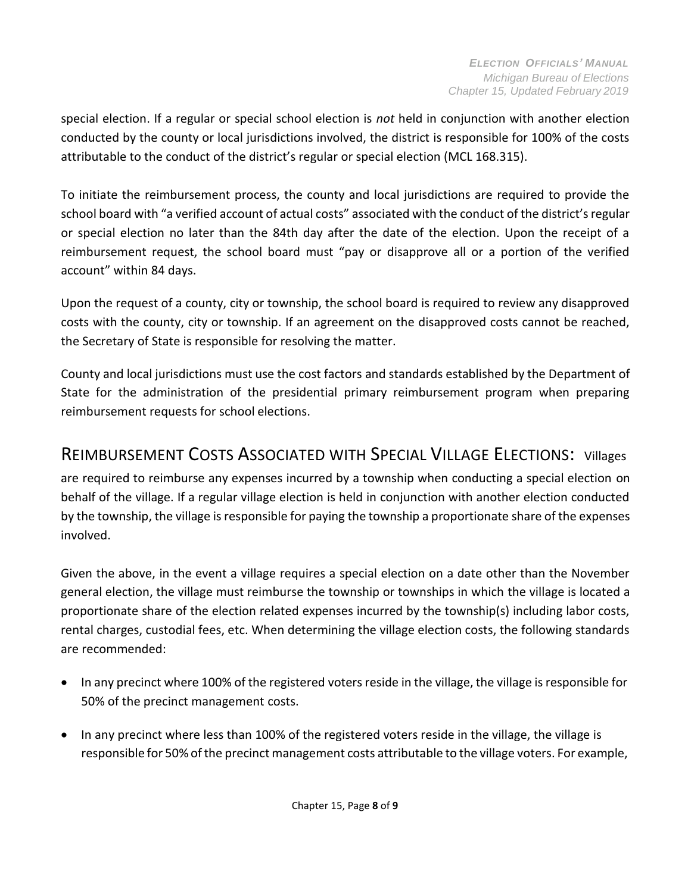special election. If a regular or special school election is *not* held in conjunction with another election conducted by the county or local jurisdictions involved, the district is responsible for 100% of the costs attributable to the conduct of the district's regular or special election (MCL 168.315).

To initiate the reimbursement process, the county and local jurisdictions are required to provide the school board with "a verified account of actual costs" associated with the conduct of the district's regular or special election no later than the 84th day after the date of the election. Upon the receipt of a reimbursement request, the school board must "pay or disapprove all or a portion of the verified account" within 84 days.

Upon the request of a county, city or township, the school board is required to review any disapproved costs with the county, city or township. If an agreement on the disapproved costs cannot be reached, the Secretary of State is responsible for resolving the matter.

County and local jurisdictions must use the cost factors and standards established by the Department of State for the administration of the presidential primary reimbursement program when preparing reimbursement requests for school elections.

## <span id="page-7-0"></span>REIMBURSEMENT COSTS ASSOCIATED WITH SPECIAL VILLAGE ELECTIONS: Villages

are required to reimburse any expenses incurred by a township when conducting a special election on behalf of the village. If a regular village election is held in conjunction with another election conducted by the township, the village isresponsible for paying the township a proportionate share of the expenses involved.

Given the above, in the event a village requires a special election on a date other than the November general election, the village must reimburse the township or townships in which the village is located a proportionate share of the election related expenses incurred by the township(s) including labor costs, rental charges, custodial fees, etc. When determining the village election costs, the following standards are recommended:

- In any precinct where 100% of the registered voters reside in the village, the village is responsible for 50% of the precinct management costs.
- In any precinct where less than 100% of the registered voters reside in the village, the village is responsible for 50% ofthe precinct management costs attributable to the village voters. For example,